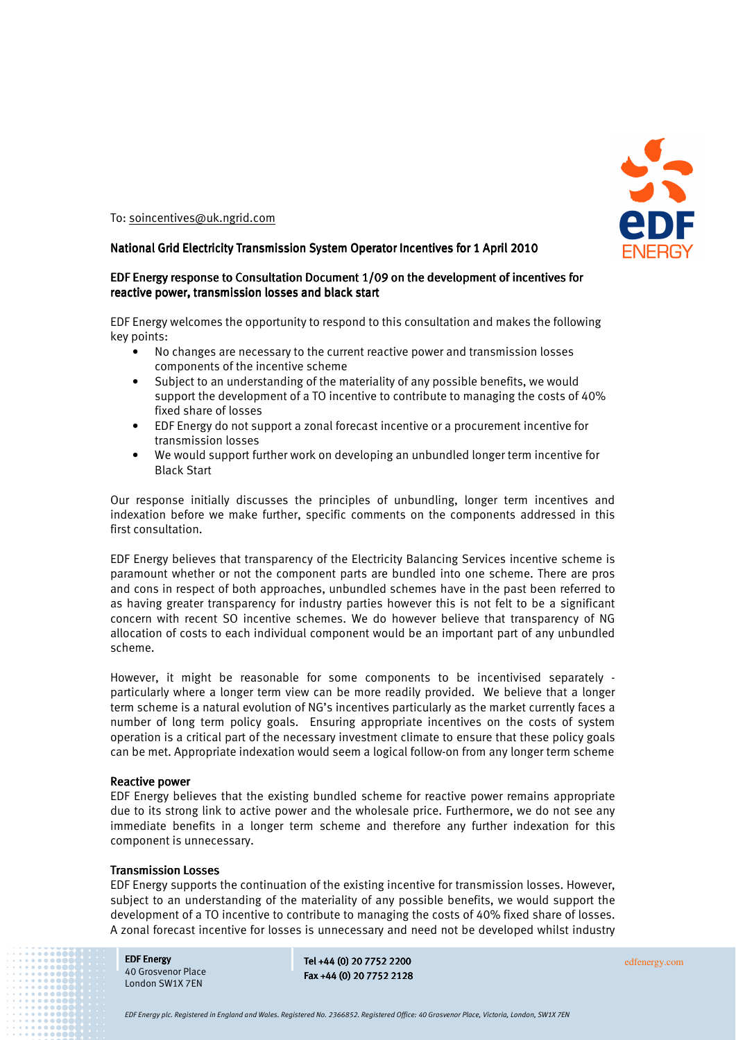

To: soincentives@uk.ngrid.com

### National Grid Electricity Transmission System Operator Incentives for 1 April 2010

# EDF Energy response to Consultation Document 1/09 on the development of incentives for reactive power, transmission losses and black start

EDF Energy welcomes the opportunity to respond to this consultation and makes the following key points:

- No changes are necessary to the current reactive power and transmission losses components of the incentive scheme
- Subject to an understanding of the materiality of any possible benefits, we would support the development of a TO incentive to contribute to managing the costs of 40% fixed share of losses
- EDF Energy do not support a zonal forecast incentive or a procurement incentive for transmission losses
- We would support further work on developing an unbundled longer term incentive for Black Start

Our response initially discusses the principles of unbundling, longer term incentives and indexation before we make further, specific comments on the components addressed in this first consultation.

EDF Energy believes that transparency of the Electricity Balancing Services incentive scheme is paramount whether or not the component parts are bundled into one scheme. There are pros and cons in respect of both approaches, unbundled schemes have in the past been referred to as having greater transparency for industry parties however this is not felt to be a significant concern with recent SO incentive schemes. We do however believe that transparency of NG allocation of costs to each individual component would be an important part of any unbundled scheme.

However, it might be reasonable for some components to be incentivised separately particularly where a longer term view can be more readily provided. We believe that a longer term scheme is a natural evolution of NG's incentives particularly as the market currently faces a number of long term policy goals. Ensuring appropriate incentives on the costs of system operation is a critical part of the necessary investment climate to ensure that these policy goals can be met. Appropriate indexation would seem a logical follow-on from any longer term scheme

### **Reactive power**

EDF Energy believes that the existing bundled scheme for reactive power remains appropriate due to its strong link to active power and the wholesale price. Furthermore, we do not see any immediate benefits in a longer term scheme and therefore any further indexation for this component is unnecessary.

### **Transmission Losses**

EDF Energy supports the continuation of the existing incentive for transmission losses. However, subject to an understanding of the materiality of any possible benefits, we would support the development of a TO incentive to contribute to managing the costs of 40% fixed share of losses. A zonal forecast incentive for losses is unnecessary and need not be developed whilst industry

**EDF Energy** 40 Grosvenor Place London SW1X 7EN

Tel +44 (0) 20 7752 2200 edfenergy.com Fax +44 (0) 20 7752 2128